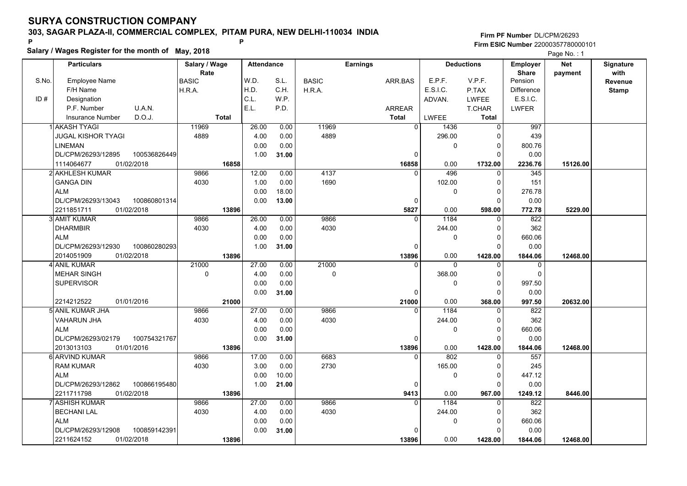## **SURYA CONSTRUCTION COMPANY303, SAGAR PLAZA-II, COMMERCIAL COMPLEX, PITAM PURA, NEW DELHI-110034 INDIA**

**Salary / Wages Register for the month of May, 2018 <sup>P</sup> <sup>P</sup>**

#### **Firm PF Number**DL/CPM/26293**Firm ESIC Number** 22000357780000101

Page No.: 1

|       | <b>Particulars</b>                |              | Salary / Wage<br>Rate |              | <b>Attendance</b> |       |              | <b>Earnings</b> |                |              | <b>Deductions</b> | Employer<br><b>Share</b> | <b>Net</b> | Signature<br>with |
|-------|-----------------------------------|--------------|-----------------------|--------------|-------------------|-------|--------------|-----------------|----------------|--------------|-------------------|--------------------------|------------|-------------------|
| S.No. | Employee Name                     |              | <b>BASIC</b>          |              | W.D.              | S.L.  | <b>BASIC</b> |                 | ARR.BAS        | E.P.F.       | V.P.F.            | Pension                  | payment    | <b>Revenue</b>    |
|       | F/H Name                          |              | H.R.A.                |              | H.D.              | C.H.  | H.R.A.       |                 |                | E.S.I.C.     | P.TAX             | <b>Difference</b>        |            | <b>Stamp</b>      |
| ID#   | Designation                       |              |                       |              | C.L.              | W.P.  |              |                 |                | ADVAN.       | <b>LWFEE</b>      | E.S.I.C.                 |            |                   |
|       | U.A.N.<br>P.F. Number             |              |                       |              | E.L.              | P.D.  |              |                 | <b>ARREAR</b>  |              | T.CHAR            | <b>LWFER</b>             |            |                   |
|       | D.O.J.<br><b>Insurance Number</b> |              |                       | <b>Total</b> |                   |       |              |                 | Total          | <b>LWFEE</b> | <b>Total</b>      |                          |            |                   |
|       | 1 AKASH TYAGI                     |              | 11969                 |              | 26.00             | 0.00  | 11969        |                 | $\overline{0}$ | 1436         | $\mathbf 0$       | 997                      |            |                   |
|       | <b>JUGAL KISHOR TYAGI</b>         |              | 4889                  |              | 4.00              | 0.00  | 4889         |                 |                | 296.00       | 0                 | 439                      |            |                   |
|       | <b>LINEMAN</b>                    |              |                       |              | 0.00              | 0.00  |              |                 |                | $\mathbf 0$  | $\mathbf 0$       | 800.76                   |            |                   |
|       | DL/CPM/26293/12895                | 100536826449 |                       |              | 1.00              | 31.00 |              |                 | 0              |              | $\Omega$          | 0.00                     |            |                   |
|       | 1114064677<br>01/02/2018          |              |                       | 16858        |                   |       |              |                 | 16858          | 0.00         | 1732.00           | 2236.76                  | 15126.00   |                   |
|       | 2 AKHLESH KUMAR                   |              | 9866                  |              | 12.00             | 0.00  | 4137         |                 | $\Omega$       | 496          | $\mathbf 0$       | 345                      |            |                   |
|       | <b>GANGA DIN</b>                  |              | 4030                  |              | 1.00              | 0.00  | 1690         |                 |                | 102.00       | 0                 | 151                      |            |                   |
|       | <b>ALM</b>                        |              |                       |              | 0.00              | 18.00 |              |                 |                | 0            | $\mathbf 0$       | 276.78                   |            |                   |
|       | DL/CPM/26293/13043                | 100860801314 |                       |              | 0.00              | 13.00 |              |                 | 0              |              | $\mathbf 0$       | 0.00                     |            |                   |
|       | 01/02/2018<br>2211851711          |              |                       | 13896        |                   |       |              |                 | 5827           | 0.00         | 598.00            | 772.78                   | 5229.00    |                   |
|       | 3 AMIT KUMAR                      |              | 9866                  |              | 26.00             | 0.00  | 9866         |                 | $\Omega$       | 1184         | $\mathbf 0$       | 822                      |            |                   |
|       | <b>DHARMBIR</b>                   |              | 4030                  |              | 4.00              | 0.00  | 4030         |                 |                | 244.00       | $\mathbf 0$       | 362                      |            |                   |
|       | <b>ALM</b>                        |              |                       |              | 0.00              | 0.00  |              |                 |                | 0            | $\mathbf 0$       | 660.06                   |            |                   |
|       | DL/CPM/26293/12930                | 100860280293 |                       |              | 1.00              | 31.00 |              |                 | $\Omega$       |              | $\Omega$          | 0.00                     |            |                   |
|       | 2014051909<br>01/02/2018          |              |                       | 13896        |                   |       |              |                 | 13896          | 0.00         | 1428.00           | 1844.06                  | 12468.00   |                   |
|       | 4 ANIL KUMAR                      |              | 21000                 |              | 27.00             | 0.00  | 21000        |                 | $\Omega$       | $\mathbf{0}$ | $\mathbf 0$       | $\mathbf 0$              |            |                   |
|       | <b>MEHAR SINGH</b>                |              | 0                     |              | 4.00              | 0.00  | 0            |                 |                | 368.00       | $\mathbf 0$       | $\mathbf 0$              |            |                   |
|       | <b>SUPERVISOR</b>                 |              |                       |              | 0.00              | 0.00  |              |                 |                | 0            | $\mathbf 0$       | 997.50                   |            |                   |
|       |                                   |              |                       |              | 0.00              | 31.00 |              |                 | $\Omega$       |              | $\Omega$          | 0.00                     |            |                   |
|       | 2214212522<br>01/01/2016          |              |                       | 21000        |                   |       |              |                 | 21000          | 0.00         | 368.00            | 997.50                   | 20632.00   |                   |
|       | 5 ANIL KUMAR JHA                  |              | 9866                  |              | 27.00             | 0.00  | 9866         |                 | 0              | 1184         | $\mathbf 0$       | 822                      |            |                   |
|       | <b>VAHARUN JHA</b>                |              | 4030                  |              | 4.00              | 0.00  | 4030         |                 |                | 244.00       | 0                 | 362                      |            |                   |
|       | <b>ALM</b>                        |              |                       |              | 0.00              | 0.00  |              |                 |                | 0            | $\mathbf 0$       | 660.06                   |            |                   |
|       | DL/CPM/26293/02179                | 100754321767 |                       |              | 0.00              | 31.00 |              |                 | 0              |              | $\mathbf 0$       | 0.00                     |            |                   |
|       | 2013013103<br>01/01/2016          |              |                       | 13896        |                   |       |              |                 | 13896          | 0.00         | 1428.00           | 1844.06                  | 12468.00   |                   |
|       | 6 ARVIND KUMAR                    |              | 9866                  |              | 17.00             | 0.00  | 6683         |                 | $\Omega$       | 802          | $\mathbf 0$       | 557                      |            |                   |
|       | <b>RAM KUMAR</b>                  |              | 4030                  |              | 3.00              | 0.00  | 2730         |                 |                | 165.00       | $\mathbf 0$       | 245                      |            |                   |
|       | <b>ALM</b>                        |              |                       |              | 0.00              | 10.00 |              |                 |                | 0            | $\mathbf 0$       | 447.12                   |            |                   |
|       | DL/CPM/26293/12862                | 100866195480 |                       |              | 1.00              | 21.00 |              |                 | $\mathbf 0$    |              | $\Omega$          | 0.00                     |            |                   |
|       | 2211711798<br>01/02/2018          |              |                       | 13896        |                   |       |              |                 | 9413           | 0.00         | 967.00            | 1249.12                  | 8446.00    |                   |
|       | 7 ASHISH KUMAR                    |              | 9866                  |              | 27.00             | 0.00  | 9866         |                 | $\Omega$       | 1184         | $\Omega$          | 822                      |            |                   |
|       | <b>BECHANI LAL</b>                |              | 4030                  |              | 4.00              | 0.00  | 4030         |                 |                | 244.00       | $\mathbf 0$       | 362                      |            |                   |
|       | <b>ALM</b>                        |              |                       |              | 0.00              | 0.00  |              |                 |                | 0            | $\mathbf 0$       | 660.06                   |            |                   |
|       | DL/CPM/26293/12908                | 100859142391 |                       |              | 0.00              | 31.00 |              |                 | 0              |              | $\Omega$          | 0.00                     |            |                   |
|       | 01/02/2018<br>2211624152          |              |                       | 13896        |                   |       |              |                 | 13896          | 0.00         | 1428.00           | 1844.06                  | 12468.00   |                   |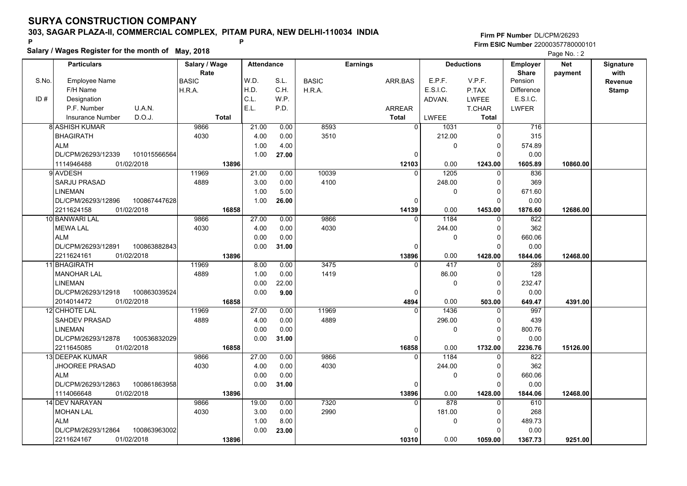### **303, SAGAR PLAZA-II, COMMERCIAL COMPLEX, PITAM PURA, NEW DELHI-110034 INDIA**

**Salary / Wages Register for the month of May, 2018 <sup>P</sup> <sup>P</sup>**

|       | Salary / Wages Register for the month of May, 2018 | Page No.: 2   |                   |       |              |                 |              |                   |                   |            |                  |
|-------|----------------------------------------------------|---------------|-------------------|-------|--------------|-----------------|--------------|-------------------|-------------------|------------|------------------|
|       | <b>Particulars</b>                                 | Salary / Wage | <b>Attendance</b> |       |              | <b>Earnings</b> |              | <b>Deductions</b> | <b>Employer</b>   | <b>Net</b> | <b>Signature</b> |
|       |                                                    | Rate          |                   |       |              |                 |              |                   | <b>Share</b>      | payment    | with             |
| S.No. | <b>Employee Name</b>                               | <b>BASIC</b>  | W.D.              | S.L.  | <b>BASIC</b> | ARR.BAS         | E.P.F.       | V.P.F.            | Pension           |            | Revenue          |
|       | F/H Name                                           | H.R.A.        | H.D.              | C.H.  | H.R.A.       |                 | E.S.I.C.     | P.TAX             | <b>Difference</b> |            | <b>Stamp</b>     |
| ID#   | Designation                                        |               | C.L.              | W.P.  |              |                 | ADVAN.       | <b>LWFEE</b>      | E.S.I.C.          |            |                  |
|       | P.F. Number<br>U.A.N.                              |               | E.L.              | P.D.  |              | ARREAR          |              | T.CHAR            | LWFER             |            |                  |
|       | D.O.J.<br><b>Insurance Number</b>                  | <b>Total</b>  |                   |       |              | <b>Total</b>    | <b>LWFEE</b> | <b>Total</b>      |                   |            |                  |
|       | <b>8 ASHISH KUMAR</b>                              | 9866          | 21.00             | 0.00  | 8593         | $\overline{0}$  | 1031         | $\overline{0}$    | 716               |            |                  |
|       | <b>BHAGIRATH</b>                                   | 4030          | 4.00              | 0.00  | 3510         |                 | 212.00       |                   | 315               |            |                  |
|       | <b>ALM</b>                                         |               | 1.00              | 4.00  |              |                 | $\mathbf{0}$ | 0                 | 574.89            |            |                  |
|       | DL/CPM/26293/12339<br>101015566564                 |               | 1.00              | 27.00 |              | $\Omega$        |              | $\Omega$          | 0.00              |            |                  |
|       | 1114946488<br>01/02/2018                           | 13896         |                   |       |              | 12103           | 0.00         | 1243.00           | 1605.89           | 10860.00   |                  |
|       | 9 AVDESH                                           | 11969         | 21.00             | 0.00  | 10039        | $\Omega$        | 1205         | $\Omega$          | 836               |            |                  |
|       | SARJU PRASAD                                       | 4889          | 3.00              | 0.00  | 4100         |                 | 248.00       | $\Omega$          | 369               |            |                  |
|       | <b>LINEMAN</b>                                     |               | 1.00              | 5.00  |              |                 | $\mathbf 0$  | $\Omega$          | 671.60            |            |                  |
|       | DL/CPM/26293/12896<br>100867447628                 |               | 1.00              | 26.00 |              | $\mathbf 0$     |              |                   | 0.00              |            |                  |
|       | 2211624158<br>01/02/2018                           | 16858         |                   |       |              | 14139           | 0.00         | 1453.00           | 1876.60           | 12686.00   |                  |
|       | 10 BANWARI LAL                                     | 9866          | 27.00             | 0.00  | 9866         | $\Omega$        | 1184         | $\Omega$          | 822               |            |                  |
|       | <b>MEWA LAL</b>                                    | 4030          | 4.00              | 0.00  | 4030         |                 | 244.00       | $\Omega$          | 362               |            |                  |
|       | <b>ALM</b>                                         |               | 0.00              | 0.00  |              |                 | 0            |                   | 660.06            |            |                  |
|       | DL/CPM/26293/12891<br>100863882843                 |               | 0.00              | 31.00 |              | $\Omega$        |              | <sup>0</sup>      | 0.00              |            |                  |
|       | 2211624161<br>01/02/2018                           | 13896         |                   |       |              | 13896           | 0.00         | 1428.00           | 1844.06           | 12468.00   |                  |
|       | 11 BHAGIRATH                                       | 11969         | 8.00              | 0.00  | 3475         | $\Omega$        | 417          |                   | 289               |            |                  |
|       | <b>MANOHAR LAL</b>                                 | 4889          | 1.00              | 0.00  | 1419         |                 | 86.00        |                   | 128               |            |                  |
|       | LINEMAN                                            |               | 0.00              | 22.00 |              |                 | $\mathbf{0}$ | $\Omega$          | 232.47            |            |                  |
|       | DL/CPM/26293/12918<br>100863039524                 |               | 0.00              | 9.00  |              | 0               |              | $\Omega$          | 0.00              |            |                  |
|       | 01/02/2018<br>2014014472                           | 16858         |                   |       |              | 4894            | 0.00         | 503.00            | 649.47            | 4391.00    |                  |
|       | <b>12 CHHOTE LAL</b>                               | 11969         | 27.00             | 0.00  | 11969        |                 | 1436         | $\Omega$          | 997               |            |                  |
|       | SAHDEV PRASAD                                      | 4889          | 4.00              | 0.00  | 4889         |                 | 296.00       | 0                 | 439               |            |                  |
|       | <b>LINEMAN</b>                                     |               | 0.00              | 0.00  |              |                 | $\mathbf{0}$ | $\Omega$          | 800.76            |            |                  |
|       | DL/CPM/26293/12878<br>100536832029                 |               | 0.00              | 31.00 |              | 0               |              | $\Omega$          | 0.00              |            |                  |
|       | 2211645085<br>01/02/2018                           | 16858         |                   |       |              | 16858           | 0.00         | 1732.00           | 2236.76           | 15126.00   |                  |
|       | 13 DEEPAK KUMAR                                    | 9866          | 27.00             | 0.00  | 9866         | $\Omega$        | 1184         | 0                 | 822               |            |                  |
|       | <b>JHOOREE PRASAD</b>                              | 4030          | 4.00              | 0.00  | 4030         |                 | 244.00       | $\Omega$          | 362               |            |                  |
|       | <b>ALM</b>                                         |               | 0.00              | 0.00  |              |                 | $\mathbf{0}$ | $\Omega$          | 660.06            |            |                  |
|       | DL/CPM/26293/12863<br>100861863958                 |               | 0.00              | 31.00 |              | $\mathbf{0}$    |              | $\Omega$          | 0.00              |            |                  |
|       | 1114066648<br>01/02/2018                           | 13896         |                   |       |              | 13896           | 0.00         | 1428.00           | 1844.06           | 12468.00   |                  |
|       | 14 DEV NARAYAN                                     | 9866          | 19.00             | 0.00  | 7320         | $\Omega$        | 878          | $\Omega$          | 610               |            |                  |
|       | <b>MOHAN LAL</b>                                   | 4030          | 3.00              | 0.00  | 2990         |                 | 181.00       | $\Omega$          | 268               |            |                  |
|       | <b>ALM</b>                                         |               | 1.00              | 8.00  |              |                 | 0            | 0                 | 489.73            |            |                  |
|       | 100863963002<br>DL/CPM/26293/12864                 |               | 0.00              | 23.00 |              | $\Omega$        |              |                   | 0.00              |            |                  |
|       | 2211624167<br>01/02/2018                           | 13896         |                   |       |              | 10310           | 0.00         | 1059.00           | 1367.73           | 9251.00    |                  |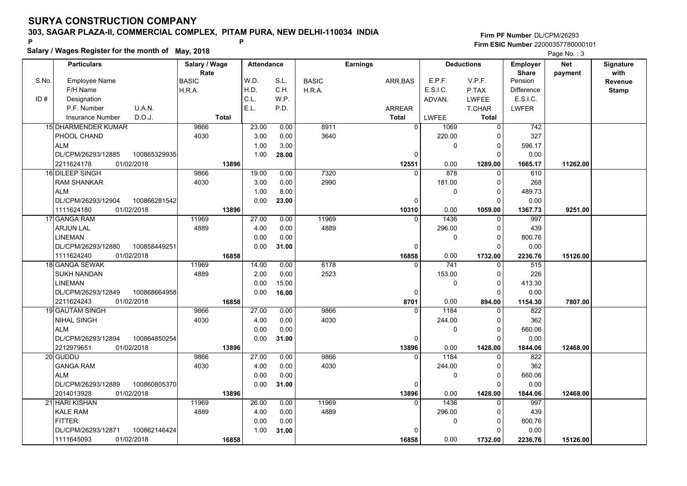### **303, SAGAR PLAZA-II, COMMERCIAL COMPLEX, PITAM PURA, NEW DELHI-110034 INDIA**

# **Salary / Wages Register for the month of May, 2018 <sup>P</sup> <sup>P</sup>**

|       | Salary / Wages Register for the month of May, 2018 |               |                   |       |              |                 |              |                   |                 | Page No.: 3 |                  |
|-------|----------------------------------------------------|---------------|-------------------|-------|--------------|-----------------|--------------|-------------------|-----------------|-------------|------------------|
|       | <b>Particulars</b>                                 | Salary / Wage | <b>Attendance</b> |       |              | <b>Earnings</b> |              | <b>Deductions</b> | <b>Employer</b> | <b>Net</b>  | <b>Signature</b> |
|       |                                                    | Rate          |                   |       |              |                 |              |                   | <b>Share</b>    | payment     | with             |
| S.No. | <b>Employee Name</b>                               | <b>BASIC</b>  | W.D.              | S.L.  | <b>BASIC</b> | ARR.BAS         | E.P.F.       | V.P.F.            | Pension         |             | Revenue          |
|       | F/H Name                                           | H.R.A.        | H.D.              | C.H.  | H.R.A.       |                 | E.S.I.C.     | P.TAX             | Difference      |             | <b>Stamp</b>     |
| ID#   | Designation                                        |               | C.L.              | W.P.  |              |                 | ADVAN.       | <b>LWFEE</b>      | E.S.I.C.        |             |                  |
|       | U.A.N.<br>P.F. Number                              |               | E.L.              | P.D.  |              | <b>ARREAR</b>   |              | <b>T.CHAR</b>     | LWFER           |             |                  |
|       | D.O.J.<br><b>Insurance Number</b>                  | <b>Total</b>  |                   |       |              | <b>Total</b>    | <b>LWFEE</b> | Total             |                 |             |                  |
|       | 15 DHARMENDER KUMAR                                | 9866          | 23.00             | 0.00  | 8911         | $\overline{0}$  | 1069         | $\overline{0}$    | 742             |             |                  |
|       | PHOOL CHAND                                        | 4030          | 3.00              | 0.00  | 3640         |                 | 220.00       | 0                 | 327             |             |                  |
|       | <b>ALM</b>                                         |               | 1.00              | 3.00  |              |                 | $\mathbf{0}$ | 0                 | 596.17          |             |                  |
|       | DL/CPM/26293/12885<br>100865329935                 |               | 1.00              | 28.00 |              | $\mathbf 0$     |              | $\Omega$          | 0.00            |             |                  |
|       | 01/02/2018<br>2211624178                           | 13896         |                   |       |              | 12551           | 0.00         | 1289.00           | 1665.17         | 11262.00    |                  |
|       | 16 DILEEP SINGH                                    | 9866          | 19.00             | 0.00  | 7320         | $\Omega$        | 878          |                   | 610             |             |                  |
|       | <b>RAM SHANKAR</b>                                 | 4030          | 3.00              | 0.00  | 2990         |                 | 181.00       | 0                 | 268             |             |                  |
|       | <b>ALM</b>                                         |               | 1.00              | 8.00  |              |                 | $\mathbf{0}$ | $\Omega$          | 489.73          |             |                  |
|       | DL/CPM/26293/12904<br>100866281542                 |               | 0.00              | 23.00 |              | 0               |              | $\Omega$          | 0.00            |             |                  |
|       | 1111624180<br>01/02/2018                           | 13896         |                   |       |              | 10310           | 0.00         | 1059.00           | 1367.73         | 9251.00     |                  |
|       | 17 GANGA RAM                                       | 11969         | 27.00             | 0.00  | 11969        | $\mathbf{0}$    | 1436         | 0                 | 997             |             |                  |
|       | <b>ARJUN LAL</b>                                   | 4889          | 4.00              | 0.00  | 4889         |                 | 296.00       | 0                 | 439             |             |                  |
|       | <b>LINEMAN</b>                                     |               | 0.00              | 0.00  |              |                 | $\mathbf 0$  | 0                 | 800.76          |             |                  |
|       | DL/CPM/26293/12880<br>100858449251                 |               | 0.00              | 31.00 |              | $\mathbf 0$     |              | $\Omega$          | 0.00            |             |                  |
|       | 1111624240<br>01/02/2018                           | 16858         |                   |       |              | 16858           | 0.00         | 1732.00           | 2236.76         | 15126.00    |                  |
|       | 18 GANGA SEWAK                                     | 11969         | 14.00             | 0.00  | 6178         | $\Omega$        | 741          | $\Omega$          | 515             |             |                  |
|       | <b>SUKH NANDAN</b>                                 | 4889          | 2.00              | 0.00  | 2523         |                 | 153.00       | $\Omega$          | 226             |             |                  |
|       | <b>LINEMAN</b>                                     |               | 0.00              | 15.00 |              |                 | $\mathbf 0$  | 0                 | 413.30          |             |                  |
|       | DL/CPM/26293/12849<br>100868664958                 |               | 0.00              | 16.00 |              | $\mathbf 0$     |              | $\Omega$          | 0.00            |             |                  |
|       | 2211624243<br>01/02/2018                           | 16858         |                   |       |              | 8701            | 0.00         | 894.00            | 1154.30         | 7807.00     |                  |
|       | <b>19 GAUTAM SINGH</b>                             | 9866          | 27.00             | 0.00  | 9866         | 0               | 1184         | 0                 | 822             |             |                  |
|       | <b>NIHAL SINGH</b>                                 | 4030          | 4.00              | 0.00  | 4030         |                 | 244.00       | 0                 | 362             |             |                  |
|       | <b>ALM</b>                                         |               | 0.00              | 0.00  |              |                 | $\mathbf{0}$ | 0                 | 660.06          |             |                  |
|       | DL/CPM/26293/12894<br>100864850254                 |               | 0.00              | 31.00 |              | 0               |              | $\Omega$          | 0.00            |             |                  |
|       | 2212979651<br>01/02/2018                           | 13896         |                   |       |              | 13896           | 0.00         | 1428.00           | 1844.06         | 12468.00    |                  |
|       | 20 GUDDU                                           | 9866          | 27.00             | 0.00  | 9866         | 0               | 1184         | 0                 | 822             |             |                  |
|       | <b>GANGA RAM</b>                                   | 4030          | 4.00              | 0.00  | 4030         |                 | 244.00       | $\Omega$          | 362             |             |                  |
|       | <b>ALM</b>                                         |               | 0.00              | 0.00  |              |                 | $\Omega$     | $\Omega$          | 660.06          |             |                  |
|       | DL/CPM/26293/12889<br>100860805370                 |               | 0.00              | 31.00 |              | $\mathbf 0$     |              | 0                 | 0.00            |             |                  |
|       | 2014013928<br>01/02/2018                           | 13896         |                   |       |              | 13896           | 0.00         | 1428.00           | 1844.06         | 12468.00    |                  |
|       | 21 HARI KISHAN                                     | 11969         | 26.00             | 0.00  | 11969        | $\overline{0}$  | 1436         | $\Omega$          | 997             |             |                  |
|       | <b>KALE RAM</b>                                    | 4889          | 4.00              | 0.00  | 4889         |                 | 296.00       | $\Omega$          | 439             |             |                  |
|       | <b>FITTER</b>                                      |               | 0.00              | 0.00  |              |                 | $\mathbf{0}$ | 0                 | 800.76          |             |                  |
|       | DL/CPM/26293/12871<br>100862146424                 |               | 1.00              | 31.00 |              | 0               |              | O                 | 0.00            |             |                  |
|       | 1111645093<br>01/02/2018                           | 16858         |                   |       |              | 16858           | 0.00         | 1732.00           | 2236.76         | 15126.00    |                  |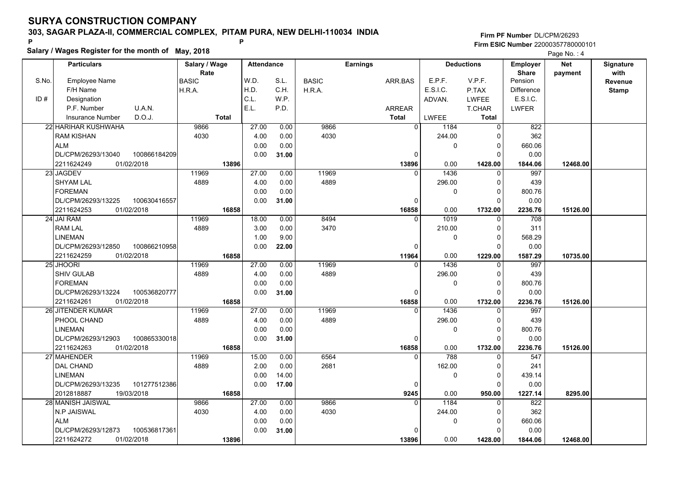### **303, SAGAR PLAZA-II, COMMERCIAL COMPLEX, PITAM PURA, NEW DELHI-110034 INDIA**

# **Salary / Wages Register for the month of May, 2018 <sup>P</sup> <sup>P</sup>**

|       | Salary / Wages Register for the month of May, 2018 |               |                   |       |              |                 |              |                   |                 |            |                  |
|-------|----------------------------------------------------|---------------|-------------------|-------|--------------|-----------------|--------------|-------------------|-----------------|------------|------------------|
|       | <b>Particulars</b>                                 | Salary / Wage | <b>Attendance</b> |       |              | <b>Earnings</b> |              | <b>Deductions</b> | <b>Employer</b> | <b>Net</b> | <b>Signature</b> |
|       |                                                    | Rate          |                   |       |              |                 |              |                   | <b>Share</b>    | payment    | with             |
| S.No. | Employee Name                                      | <b>BASIC</b>  | W.D.              | S.L.  | <b>BASIC</b> | ARR.BAS         | E.P.F.       | V.P.F.            | Pension         |            | Revenue          |
|       | F/H Name                                           | H.R.A.        | H.D.              | C.H.  | H.R.A.       |                 | E.S.I.C.     | P.TAX             | Difference      |            | Stamp            |
| ID#   | Designation                                        |               | C.L.              | WP.   |              |                 | ADVAN.       | LWFEE             | E.S.I.C.        |            |                  |
|       | U.A.N.<br>P.F. Number                              |               | E.L.              | P.D.  |              | <b>ARREAR</b>   |              | T.CHAR            | LWFER           |            |                  |
|       | D.O.J.<br><b>Insurance Number</b>                  | <b>Total</b>  |                   |       |              | <b>Total</b>    | LWFEE        | Total             |                 |            |                  |
|       | 22 HARIHAR KUSHWAHA                                | 9866          | 27.00             | 0.00  | 9866         | $\mathbf 0$     | 1184         | $\Omega$          | 822             |            |                  |
|       | <b>RAM KISHAN</b>                                  | 4030          | 4.00              | 0.00  | 4030         |                 | 244.00       |                   | 362             |            |                  |
|       | <b>ALM</b>                                         |               | 0.00              | 0.00  |              |                 | $\mathbf{0}$ | 0                 | 660.06          |            |                  |
|       | DL/CPM/26293/13040<br>100866184209                 |               | 0.00              | 31.00 |              | $\mathbf 0$     |              | $\Omega$          | 0.00            |            |                  |
|       | 2211624249<br>01/02/2018                           | 13896         |                   |       |              | 13896           | 0.00         | 1428.00           | 1844.06         | 12468.00   |                  |
|       | 23 JAGDEV                                          | 11969         | 27.00             | 0.00  | 11969        | $\Omega$        | 1436         | 0                 | 997             |            |                  |
|       | <b>SHYAM LAL</b>                                   | 4889          | 4.00              | 0.00  | 4889         |                 | 296.00       | $\Omega$          | 439             |            |                  |
|       | <b>FOREMAN</b>                                     |               | 0.00              | 0.00  |              |                 | $\Omega$     | $\Omega$          | 800.76          |            |                  |
|       | DL/CPM/26293/13225<br>100630416557                 |               | 0.00              | 31.00 |              | 0               |              | 0                 | 0.00            |            |                  |
|       | 01/02/2018<br>2211624253                           | 16858         |                   |       |              | 16858           | 0.00         | 1732.00           | 2236.76         | 15126.00   |                  |
|       | 24 JAI RAM                                         | 11969         | 18.00             | 0.00  | 8494         | $\mathbf{0}$    | 1019         | $\Omega$          | 708             |            |                  |
|       | <b>RAM LAL</b>                                     | 4889          | 3.00              | 0.00  | 3470         |                 | 210.00       | $\Omega$          | 311             |            |                  |
|       | <b>LINEMAN</b>                                     |               | 1.00              | 9.00  |              |                 | 0            | $\Omega$          | 568.29          |            |                  |
|       | DL/CPM/26293/12850<br>100866210958                 |               | 0.00              | 22.00 |              | 0               |              | $\Omega$          | 0.00            |            |                  |
|       | 2211624259<br>01/02/2018                           | 16858         |                   |       |              | 11964           | 0.00         | 1229.00           | 1587.29         | 10735.00   |                  |
|       | 25 JHOORI                                          | 11969         | 27.00             | 0.00  | 11969        | $\Omega$        | 1436         | $\Omega$          | 997             |            |                  |
|       | <b>SHIV GULAB</b>                                  | 4889          | 4.00              | 0.00  | 4889         |                 | 296.00       | 0                 | 439             |            |                  |
|       | <b>FOREMAN</b>                                     |               | 0.00              | 0.00  |              |                 | 0            | 0                 | 800.76          |            |                  |
|       | 100536820777<br>DL/CPM/26293/13224                 |               | 0.00              | 31.00 |              | $\mathbf 0$     |              | $\Omega$          | 0.00            |            |                  |
|       | 2211624261<br>01/02/2018                           | 16858         |                   |       |              | 16858           | 0.00         | 1732.00           | 2236.76         | 15126.00   |                  |
|       | 26 JITENDER KUMAR                                  | 11969         | 27.00             | 0.00  | 11969        | $\Omega$        | 1436         |                   | 997             |            |                  |
|       | PHOOL CHAND                                        | 4889          | 4.00              | 0.00  | 4889         |                 | 296.00       | 0                 | 439             |            |                  |
|       | <b>LINEMAN</b>                                     |               | 0.00              | 0.00  |              |                 | $\mathbf 0$  | $\Omega$          | 800.76          |            |                  |
|       | DL/CPM/26293/12903<br>100865330018                 |               | 0.00              | 31.00 |              | $\mathbf 0$     |              | 0                 | 0.00            |            |                  |
|       | 2211624263<br>01/02/2018                           | 16858         |                   |       |              | 16858           | 0.00         | 1732.00           | 2236.76         | 15126.00   |                  |
|       | 27 MAHENDER                                        | 11969         | 15.00             | 0.00  | 6564         | $\Omega$        | 788          | 0                 | 547             |            |                  |
|       | <b>DAL CHAND</b>                                   | 4889          | 2.00              | 0.00  | 2681         |                 | 162.00       | $\Omega$          | 241             |            |                  |
|       | <b>LINEMAN</b>                                     |               | 0.00              | 14.00 |              |                 | 0            | $\Omega$          | 439.14          |            |                  |
|       | DL/CPM/26293/13235<br>101277512386                 |               | 0.00              | 17.00 |              | $\mathbf{0}$    |              | $\Omega$          | 0.00            |            |                  |
|       | 2012818887<br>19/03/2018                           | 16858         |                   |       |              | 9245            | 0.00         | 950.00            | 1227.14         | 8295.00    |                  |
|       | 28 MANISH JAISWAL                                  | 9866          | 27.00             | 0.00  | 9866         | $\Omega$        | 1184         | $\Omega$          | 822             |            |                  |
|       | N.P JAISWAL                                        | 4030          | 4.00              | 0.00  | 4030         |                 | 244.00       |                   | 362             |            |                  |
|       | <b>ALM</b>                                         |               | 0.00              | 0.00  |              |                 | 0            | 0                 | 660.06          |            |                  |
|       | DL/CPM/26293/12873<br>100536817361                 |               | 0.00              | 31.00 |              | $\Omega$        |              |                   | 0.00            |            |                  |
|       | 2211624272<br>01/02/2018                           | 13896         |                   |       |              | 13896           | 0.00         | 1428.00           | 1844.06         | 12468.00   |                  |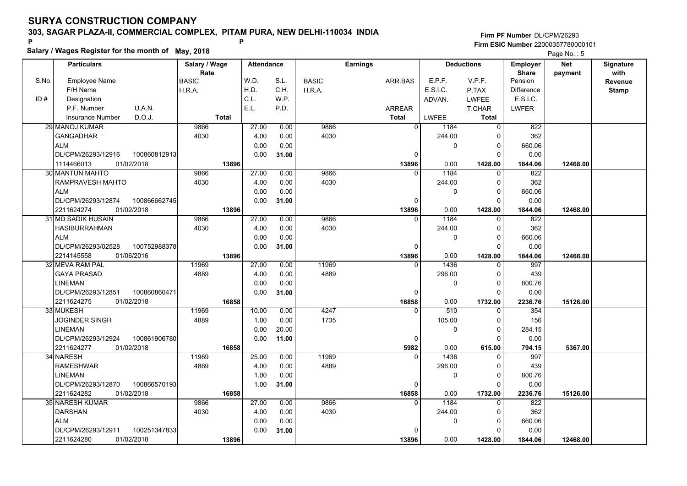### **303, SAGAR PLAZA-II, COMMERCIAL COMPLEX, PITAM PURA, NEW DELHI-110034 INDIA**

**Salary / Wages Register for the month of May, 2018 <sup>P</sup> <sup>P</sup>**

#### **Firm PF Number**DL/CPM/26293**Firm ESIC Number** 22000357780000101

Page No.: 5

|       | <b>Particulars</b>                    |                            | Salary / Wage        |              | <b>Attendance</b> |       |              | <b>Earnings</b> |                |              | <b>Deductions</b>    | <b>Employer</b>         | <b>Net</b> | Signature    |
|-------|---------------------------------------|----------------------------|----------------------|--------------|-------------------|-------|--------------|-----------------|----------------|--------------|----------------------|-------------------------|------------|--------------|
| S.No. | Employee Name                         |                            | Rate<br><b>BASIC</b> |              | W.D.              | S.L.  | <b>BASIC</b> | ARR.BAS         | E.P.F.         |              | V.P.F.               | <b>Share</b><br>Pension | payment    | with         |
|       | F/H Name                              |                            | H.R.A.               |              | H.D.              | C.H.  | H.R.A.       |                 | E.S.I.C.       |              | P.TAX                | <b>Difference</b>       |            | Revenue      |
| ID#   | Designation                           |                            |                      |              | C.L.              | W.P.  |              |                 | ADVAN.         |              | LWFEE                | E.S.I.C.                |            | <b>Stamp</b> |
|       | P.F. Number                           | U.A.N.                     |                      |              | E.L.              | P.D.  |              | <b>ARREAR</b>   |                |              | T.CHAR               | <b>LWFER</b>            |            |              |
|       | <b>Insurance Number</b>               | D.O.J.                     |                      | <b>Total</b> |                   |       |              | <b>Total</b>    | LWFEE          |              | Total                |                         |            |              |
|       | 29 MANOJ KUMAR                        |                            | 9866                 |              | 27.00             |       | 9866         |                 | $\overline{0}$ | 1184         | $\Omega$             | 822                     |            |              |
|       |                                       |                            |                      |              |                   | 0.00  | 4030         |                 |                |              |                      | 362                     |            |              |
|       | GANGADHAR                             |                            | 4030                 |              | 4.00              | 0.00  |              |                 |                | 244.00       | $\Omega$             |                         |            |              |
|       | <b>ALM</b>                            |                            |                      |              | 0.00              | 0.00  |              |                 |                | $\mathbf 0$  | 0<br>$\Omega$        | 660.06                  |            |              |
|       | DL/CPM/26293/12916                    | 100860812913               |                      |              | 0.00              | 31.00 |              |                 | 0              |              |                      | 0.00                    |            |              |
|       | 1114466013                            | 01/02/2018                 |                      | 13896        | 27.00             |       | 9866         | 13896           |                | 0.00<br>1184 | 1428.00              | 1844.06                 | 12468.00   |              |
|       | 30 MANTUN MAHTO                       |                            | 9866                 |              |                   | 0.00  | 4030         |                 | $\mathbf{0}$   |              | $\Omega$             | 822<br>362              |            |              |
|       | RAMPRAVESH MAHTO                      |                            | 4030                 |              | 4.00              | 0.00  |              |                 |                | 244.00       | $\Omega$             |                         |            |              |
|       | <b>ALM</b>                            |                            |                      |              | 0.00              | 0.00  |              |                 |                | $\mathbf{0}$ | $\mathbf 0$          | 660.06                  |            |              |
|       | DL/CPM/26293/12874                    | 100866662745               |                      |              | 0.00              | 31.00 |              |                 | $\mathbf 0$    |              | $\Omega$             | 0.00                    |            |              |
|       | 2211624274                            | 01/02/2018                 |                      | 13896        |                   |       |              | 13896           | $\Omega$       | 0.00         | 1428.00<br>$\Omega$  | 1844.06                 | 12468.00   |              |
|       | 31 MD SADIK HUSAIN                    |                            | 9866                 |              | 27.00             | 0.00  | 9866         |                 |                | 1184         |                      | 822                     |            |              |
|       | <b>HASIBURRAHMAN</b><br><b>ALM</b>    |                            | 4030                 |              | 4.00              | 0.00  | 4030         |                 |                | 244.00       | 0<br>$\Omega$        | 362                     |            |              |
|       |                                       |                            |                      |              | 0.00              | 0.00  |              |                 |                | $\mathbf 0$  | $\Omega$             | 660.06                  |            |              |
|       | DL/CPM/26293/02528                    | 100752988378               |                      | 13896        | 0.00              | 31.00 |              |                 | $\Omega$       |              |                      | 0.00                    |            |              |
|       | 2214145558<br>32l MEVA RAM PAL        | 01/06/2016                 | 11969                |              | 27.00             | 0.00  | 11969        | 13896           | $\Omega$       | 0.00<br>1436 | 1428.00<br>$\Omega$  | 1844.06<br>997          | 12468.00   |              |
|       | <b>GAYA PRASAD</b>                    |                            | 4889                 |              | 4.00              | 0.00  | 4889         |                 |                | 296.00       | $\Omega$             | 439                     |            |              |
|       |                                       |                            |                      |              | 0.00              | 0.00  |              |                 |                | $\mathbf{0}$ | $\Omega$             | 800.76                  |            |              |
|       | <b>LINEMAN</b>                        |                            |                      |              |                   |       |              |                 |                |              |                      |                         |            |              |
|       | DL/CPM/26293/12851                    | 100860860471               |                      |              | 0.00              | 31.00 |              |                 | 0              |              | $\Omega$             | 0.00                    |            |              |
|       | 2211624275<br>01/02/2018<br>33 MUKESH |                            | 11969                | 16858        | 10.00             | 0.00  | 4247         | 16858           | $\Omega$       | 0.00<br>510  | 1732.00<br>$\Omega$  | 2236.76<br>354          | 15126.00   |              |
|       | <b>JOGINDER SINGH</b>                 |                            | 4889                 |              | 1.00              | 0.00  | 1735         |                 |                | 105.00       | $\Omega$             | 156                     |            |              |
|       | <b>LINEMAN</b>                        |                            |                      |              | 0.00              | 20.00 |              |                 |                | $\mathbf{0}$ | $\mathbf 0$          | 284.15                  |            |              |
|       | DL/CPM/26293/12924                    | 100861906780               |                      |              | 0.00              |       |              |                 | 0              |              | 0                    | 0.00                    |            |              |
|       | 01/02/2018<br>2211624277              |                            |                      |              |                   | 11.00 |              |                 |                | 0.00         |                      |                         |            |              |
|       | 34 NARESH                             |                            | 11969                | 16858        | 25.00             | 0.00  | 11969        | 5982            | $\Omega$       | 1436         | 615.00<br>0          | 794.15<br>997           | 5367.00    |              |
|       | <b>RAMESHWAR</b>                      |                            | 4889                 |              | 4.00              | 0.00  | 4889         |                 |                | 296.00       | 0                    | 439                     |            |              |
|       | <b>LINEMAN</b>                        |                            |                      |              | 1.00              | 0.00  |              |                 |                | 0            | 0                    | 800.76                  |            |              |
|       |                                       |                            |                      |              |                   |       |              |                 |                |              | $\Omega$             |                         |            |              |
|       | DL/CPM/26293/12870<br>2211624282      | 100866570193<br>01/02/2018 |                      | 16858        | 1.00              | 31.00 |              |                 | $\mathbf 0$    | 0.00         |                      | 0.00                    | 15126.00   |              |
|       | 35 NARESH KUMAR                       |                            | 9866                 |              | 27.00             | 0.00  | 9866         | 16858           | $\mathbf{0}$   | 1184         | 1732.00<br>$\Omega$  | 2236.76<br>822          |            |              |
|       | <b>DARSHAN</b>                        |                            | 4030                 |              | 4.00              | 0.00  | 4030         |                 |                |              | 0                    | 362                     |            |              |
|       | <b>ALM</b>                            |                            |                      |              |                   |       |              |                 |                | 244.00       |                      |                         |            |              |
|       | DL/CPM/26293/12911                    | 100251347833               |                      |              | 0.00<br>0.00      | 0.00  |              |                 | $\Omega$       | $\mathbf 0$  | $\Omega$<br>$\Omega$ | 660.06<br>0.00          |            |              |
|       |                                       |                            |                      |              |                   | 31.00 |              |                 |                |              |                      |                         |            |              |
|       | 2211624280                            | 01/02/2018                 |                      | 13896        |                   |       |              | 13896           |                | 0.00         | 1428.00              | 1844.06                 | 12468.00   |              |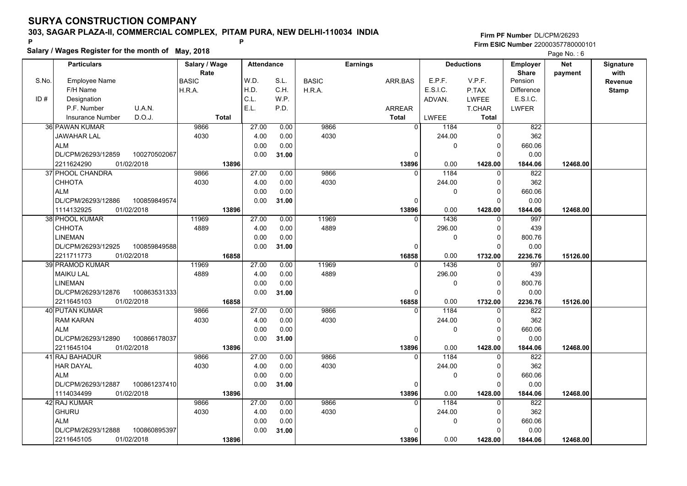### **303, SAGAR PLAZA-II, COMMERCIAL COMPLEX, PITAM PURA, NEW DELHI-110034 INDIA**

**Salary / Wages Register for the month of May, 2018 <sup>P</sup> <sup>P</sup> Firm PF Number**DL/CPM/26293**Firm ESIC Number** 22000357780000101

**BASIC**  H.R.A.ARR.BASARREAR**Total**S.No.ID #Employee NameF/H Name Designation P.F. NumberInsurance Number**Salary / Wage RateAttendance Earnings BASIC**  H.R.A.**Total**ADVAN.P.TAX LWFEE T.CHAR **Total**LWFEE <sup>1184</sup> <sup>0</sup> E.P.F. V.P.F. E.S.I.C.Pension DifferenceLWFER**Deductions Employer Share**W.D.H.D.C.L.E.L.S.L.C.H.W.P.P.D.**Net paymentSignaturewith Revenue StampParticulars**Page No. : 6D.O.J.U.A.N.E.S.I.C. 9866 4030 $\overline{0}$  $\Omega$   **13896** $\overline{0}$  9866 4030 244.00 $\overline{\phantom{0}}$  $\Omega$  $\overline{\phantom{0}}$  $\overline{\phantom{0}}$ 1428.00 0.00 **1428.00 12468.00** 822 362 660.06 0.00 1844.06 <sup>36</sup> PAWAN KUMAR JAWAHAR LALALM DL/CPM/26293/12859 2211624290 **13896**27.00 4.00 0.00 0.00 0.00 0.00 0.00 **31.00**01/02/2018 **1844.06** 822100270502067 9866 4030 $\Omega$   **13896** $\overline{0}$  9866 4030 $1184$  0 244.00 $\overline{\phantom{0}}$  0 $\overline{\phantom{0}}$  $\overline{\phantom{0}}$ 1428.00 0.00 **1428.00 12468.00** 362 660.06 0.00 1844.06 <sup>37</sup> PHOOL CHANDRA CHHOTAALM DL/CPM/26293/1288601/02/2018 1114132925 **13896**27.00 4.00 0.00 0.00 0.00 0.00 0.00 **31.00**01/02/2018 **1844.06** 997100859849574 11969 4889 $\Omega$   **16858** $\overline{0}$ 11969 4889 $1436$  0 296.00 $\overline{\phantom{0}}$  0 $\overline{\phantom{0}}$  $\overline{0}$ 1732.00 0.00 **1732.00 15126.00** 439 800.76 0.00 2236.76 <sup>38</sup> PHOOL KUMAR CHHOTA LINEMAN DL/CPM/26293/1292501/02/2018 2211711773 **16858**27.00 4.00 0.00 0.00 $0.00$  0.00 0.00 **31.00**01/02/2018 **2236.76** 997100859849588 11969 4889 0  **16858** $\overline{0}$  11969 4889<sup>1436</sup> <sup>0</sup> 296.00 $\overline{\phantom{0}}$  $\Omega$  $\overline{\phantom{0}}$  $\overline{0}$ 1732.00 0.00 **1732.00 15126.00** 439 800.76 0.00 2236.76 <sup>39</sup> PRAMOD KUMAR MAIKU LALLINEMAN DL/CPM/26293/1287601/02/2018 2211645103 **16858**27.00 4.00 0.00 0.00 0.00 0.00 0.00 **31.00**01/02/2018 **2236.76** 822100863531333 9866 4030 $\Omega$   **13896** $\overline{0}$  9866 40301184 0 244.00 $\overline{\phantom{0}}$  $\Omega$  $\overline{\phantom{0}}$  $\overline{0}$ 1428.00 0.00 **1428.00 12468.00** 362 660.06 0.00 1844.06 <sup>40</sup> PUTAN KUMAR RAM KARANALM DL/CPM/26293/1289001/02/2018 2211645104 **13896**27.00 4.00 0.00 0.00 0.00 0.00 0.00 **31.00**01/02/2018 **1844.06** 822100866178037 9866 4030 $\Omega$   **13896** $\overline{0}$  9866 4030<sup>1184</sup> <sup>0</sup> 244.00 $\overline{\phantom{0}}$  $\mathfrak{c}$  $\overline{\phantom{0}}$  $\overline{0}$ 1428.00 0.00 **1428.00 12468.00** 362 660.06 0.00 1844.06 <sup>41</sup> RAJ BAHADUR HAR DAYALALM DL/CPM/26293/1288701/02/2018 1114034499 **13896**27.00 4.00 0.00 0.00 0.00 0.00 0.00 **31.00**01/02/2018 **1844.06**822 100861237410 9866 4030 $\Omega$   **13896** 9866 4030<sup>1184</sup> <sup>0</sup> 244.00 $\overline{0}$  $\Omega$  $\overline{0}$  $\overline{0}$ 1428.00 0.00 **1428.00 12468.00** 362 660.06 0.001844.06 <sup>42</sup> RAJ KUMAR **GHURU** ALM DL/CPM/26293/1288801/02/2018 2211645105 **13896**27.00 4.00 0.00 0.00 0.00 0.00 0.00 **31.00**01/02/2018 **1844.06**100860895397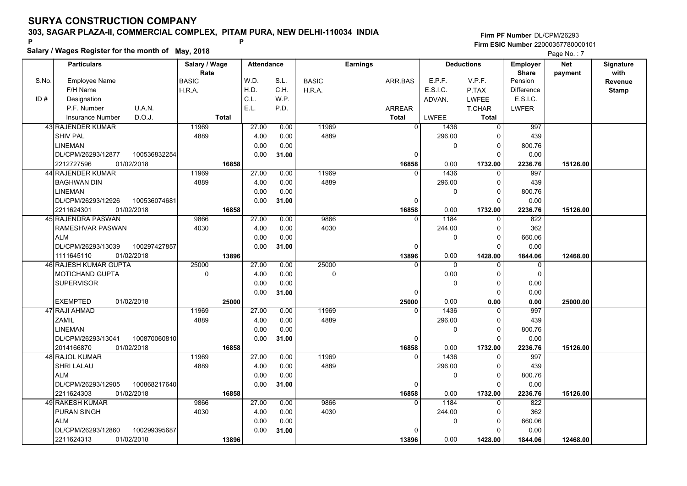### **303, SAGAR PLAZA-II, COMMERCIAL COMPLEX, PITAM PURA, NEW DELHI-110034 INDIA**

**Salary / Wages Register for the month of May, 2018 <sup>P</sup> <sup>P</sup>**

|                                                                                                                         | Page No.: 7                    |
|-------------------------------------------------------------------------------------------------------------------------|--------------------------------|
| <b>Deductions</b><br><b>Particulars</b><br>Salary / Wage<br><b>Earnings</b><br><b>Attendance</b><br><b>Employer</b>     | <b>Net</b><br><b>Signature</b> |
| Rate<br><b>Share</b>                                                                                                    | with<br>payment                |
| W.D.<br>E.P.F.<br>S.No.<br><b>Employee Name</b><br><b>BASIC</b><br>S.L.<br>V.P.F.<br>Pension<br><b>BASIC</b><br>ARR.BAS | <b>Revenue</b>                 |
| H.D.<br>E.S.I.C.<br>F/H Name<br>C.H.<br>P.TAX<br><b>Difference</b><br>H.R.A.<br>H.R.A.                                  | <b>Stamp</b>                   |
| ID#<br>C.L.<br>W.P.<br>E.S.I.C.<br>Designation<br>ADVAN.<br><b>LWFEE</b>                                                |                                |
| E.L.<br>U.A.N.<br>P.D.<br>P.F. Number<br><b>ARREAR</b><br><b>T.CHAR</b><br>LWFER                                        |                                |
| D.O.J.<br><b>Total</b><br><b>Total</b><br><b>LWFEE</b><br>Total<br><b>Insurance Number</b>                              |                                |
| 43 RAJENDER KUMAR<br>11969<br>27.00<br>0.00<br>11969<br>$\overline{0}$<br>$\overline{0}$<br>997<br>1436                 |                                |
| <b>SHIV PAL</b><br>4.00<br>4889<br>296.00<br>439<br>4889<br>0.00<br>$\Omega$                                            |                                |
| <b>LINEMAN</b><br>0.00<br>0.00<br>800.76<br>$\mathbf 0$<br>0                                                            |                                |
| DL/CPM/26293/12877<br>100536832254<br>0.00<br>$\mathbf 0$<br>0.00<br>31.00<br>0                                         |                                |
| 01/02/2018<br>16858<br>2212727596<br>16858<br>0.00<br>1732.00<br>2236.76                                                | 15126.00                       |
| 11969<br>27.00<br>11969<br>44 RAJENDER KUMAR<br>0.00<br>1436<br>997<br>$\Omega$                                         |                                |
| 4889<br>4889<br>439<br><b>BAGHWAN DIN</b><br>4.00<br>0.00<br>296.00<br>0                                                |                                |
| <b>LINEMAN</b><br>0.00<br>0.00<br>800.76<br>$\mathbf{0}$<br>$\Omega$                                                    |                                |
| DL/CPM/26293/12926<br>100536074681<br>0.00<br>31.00<br>0.00<br>0<br>$\Omega$                                            |                                |
| 2211624301<br>01/02/2018<br>16858<br>16858<br>0.00<br>1732.00<br>2236.76                                                | 15126.00                       |
| 27.00<br>1184<br>45 RAJENDRA PASWAN<br>0.00<br>9866<br>822<br>9866<br>$\mathbf{0}$<br>0                                 |                                |
| 4030<br>0.00<br>4030<br>244.00<br>362<br>RAMESHVAR PASWAN<br>4.00<br>0                                                  |                                |
| 0.00<br><b>ALM</b><br>0.00<br>$\mathbf{0}$<br>660.06<br>$\Omega$                                                        |                                |
| 0.00<br>DL/CPM/26293/13039<br>100297427857<br>31.00<br>$\mathbf 0$<br>0.00<br>$\Omega$                                  |                                |
| 1111645110<br>01/02/2018<br>13896<br>13896<br>0.00<br>1428.00<br>1844.06                                                | 12468.00                       |
| 46 RAJESH KUMAR GUPTA<br>25000<br>27.00<br>0.00<br>25000<br>$\Omega$<br>$\Omega$<br>$\Omega$<br>$\Omega$                |                                |
| <b>MOTICHAND GUPTA</b><br>$\mathbf{0}$<br>4.00<br>0.00<br>$\Omega$<br>0.00<br>$\Omega$<br>$\Omega$                      |                                |
| <b>SUPERVISOR</b><br>0.00<br>0.00<br>0.00<br>$\mathbf 0$<br>0                                                           |                                |
| 0.00<br>0.00<br>31.00<br>$\mathbf 0$<br>0                                                                               |                                |
| <b>EXEMPTED</b><br>01/02/2018<br>0.00<br>25000<br>25000<br>0.00<br>0.00                                                 | 25000.00                       |
| 47 RAJI AHMAD<br>11969<br>27.00<br>11969<br>1436<br>0.00<br>997<br>0<br>$\Omega$                                        |                                |
| <b>ZAMIL</b><br>4889<br>4.00<br>0.00<br>4889<br>296.00<br>439<br>0                                                      |                                |
| <b>LINEMAN</b><br>0.00<br>0.00<br>800.76<br>$\mathbf{0}$<br>$\mathbf 0$                                                 |                                |
| 0.00<br>DL/CPM/26293/13041<br>100870060810<br>0.00<br>31.00<br>0<br>$\Omega$                                            |                                |
| 2014166870<br>01/02/2018<br>16858<br>16858<br>0.00<br>1732.00<br>2236.76                                                | 15126.00                       |
| 27.00<br>11969<br>1436<br>997<br>48 RAJOL KUMAR<br>11969<br>0.00<br>0<br>0                                              |                                |
| <b>SHRI LALAU</b><br>4889<br>4889<br>296.00<br>439<br>4.00<br>0.00<br>$\Omega$                                          |                                |
| <b>ALM</b><br>0.00<br>0.00<br>$\Omega$<br>800.76<br>$\Omega$                                                            |                                |
| 0.00<br>DL/CPM/26293/12905<br>100868217640<br>0.00<br>31.00<br>$\mathbf 0$<br>$\Omega$                                  |                                |
| 2211624303<br>01/02/2018<br>0.00<br>16858<br>16858<br>1732.00<br>2236.76                                                | 15126.00                       |
| 49 RAKESH KUMAR<br>9866<br>27.00<br>9866<br>1184<br>$\overline{822}$<br>0.00<br>$\overline{0}$<br>$\Omega$              |                                |
| 362<br><b>PURAN SINGH</b><br>4030<br>4.00<br>0.00<br>4030<br>244.00<br>$\Omega$                                         |                                |
| <b>ALM</b><br>0.00<br>0.00<br>660.06<br>$\mathbf{0}$<br>0                                                               |                                |
| DL/CPM/26293/12860<br>100299395687<br>0.00<br>0.00<br>31.00<br>0<br>$\Omega$                                            |                                |
| 01/02/2018<br>0.00<br>2211624313<br>13896<br>13896<br>1428.00<br>1844.06                                                | 12468.00                       |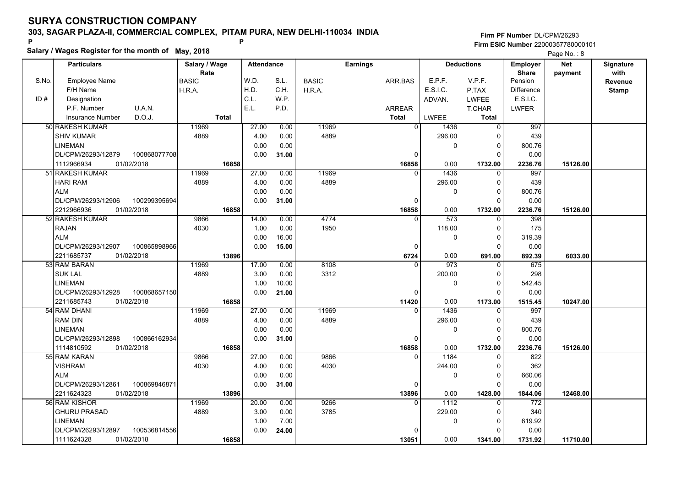### **303, SAGAR PLAZA-II, COMMERCIAL COMPLEX, PITAM PURA, NEW DELHI-110034 INDIA**

**Salary / Wages Register for the month of May, 2018 <sup>P</sup> <sup>P</sup>**

|       | Salary / Wages Register for the month of May, 2018 |               |                   |       |              |                 | Page No.: 8      |                   |                   |            |                  |
|-------|----------------------------------------------------|---------------|-------------------|-------|--------------|-----------------|------------------|-------------------|-------------------|------------|------------------|
|       | <b>Particulars</b>                                 | Salary / Wage | <b>Attendance</b> |       |              | <b>Earnings</b> |                  | <b>Deductions</b> | Employer          | <b>Net</b> | <b>Signature</b> |
|       |                                                    | Rate          |                   |       |              |                 |                  |                   | <b>Share</b>      | payment    | with             |
| S.No. | <b>Employee Name</b>                               | <b>BASIC</b>  | W.D.              | S.L.  | <b>BASIC</b> | ARR.BAS         | E.P.F.           | V.P.F.            | Pension           |            | Revenue          |
|       | F/H Name                                           | H.R.A.        | H.D.              | C.H.  | H.R.A.       |                 | E.S.I.C.         | P.TAX             | <b>Difference</b> |            | <b>Stamp</b>     |
| ID#   | Designation                                        |               | C.L.              | W.P.  |              |                 | ADVAN.           | <b>LWFEE</b>      | E.S.I.C.          |            |                  |
|       | P.F. Number<br>U.A.N.                              |               | E.L.              | P.D.  |              | ARREAR          |                  | T.CHAR            | <b>LWFER</b>      |            |                  |
|       | D.O.J.<br><b>Insurance Number</b>                  | <b>Total</b>  |                   |       |              | <b>Total</b>    | LWFEE            | <b>Total</b>      |                   |            |                  |
|       | 50 RAKESH KUMAR                                    | 11969         | 27.00             | 0.00  | 11969        | $\overline{0}$  | 1436             | $\overline{0}$    | 997               |            |                  |
|       | <b>SHIV KUMAR</b>                                  | 4889          | 4.00              | 0.00  | 4889         |                 | 296.00           | $\Omega$          | 439               |            |                  |
|       | <b>LINEMAN</b>                                     |               | 0.00              | 0.00  |              |                 | 0                | 0                 | 800.76            |            |                  |
|       | 100868077708<br>DL/CPM/26293/12879                 |               | 0.00              | 31.00 |              | $\Omega$        |                  | $\Omega$          | 0.00              |            |                  |
|       | 1112966934<br>01/02/2018                           | 16858         |                   |       |              | 16858           | 0.00             | 1732.00           | 2236.76           | 15126.00   |                  |
|       | 51 RAKESH KUMAR                                    | 11969         | 27.00             | 0.00  | 11969        | $\Omega$        | 1436             | $\Omega$          | 997               |            |                  |
|       | <b>HARI RAM</b>                                    | 4889          | 4.00              | 0.00  | 4889         |                 | 296.00           | $\mathbf{0}$      | 439               |            |                  |
|       | <b>ALM</b>                                         |               | 0.00              | 0.00  |              |                 | $\pmb{0}$        | $\mathbf{0}$      | 800.76            |            |                  |
|       | DL/CPM/26293/12906<br>100299395694                 |               | 0.00              | 31.00 |              | 0               |                  | $\Omega$          | 0.00              |            |                  |
|       | 2212966936<br>01/02/2018                           | 16858         |                   |       |              | 16858           | 0.00             | 1732.00           | 2236.76           | 15126.00   |                  |
|       | 52 RAKESH KUMAR                                    | 9866          | 14.00             | 0.00  | 4774         | $\Omega$        | $\overline{573}$ | $\Omega$          | 398               |            |                  |
|       | <b>RAJAN</b>                                       | 4030          | 1.00              | 0.00  | 1950         |                 | 118.00           | 0                 | 175               |            |                  |
|       | <b>ALM</b>                                         |               | 0.00              | 16.00 |              |                 | 0                | $\Omega$          | 319.39            |            |                  |
|       | DL/CPM/26293/12907<br>100865898966                 |               | 0.00              | 15.00 |              | 0               |                  | $\Omega$          | 0.00              |            |                  |
|       | 2211685737<br>01/02/2018                           | 13896         |                   |       |              | 6724            | 0.00             | 691.00            | 892.39            | 6033.00    |                  |
|       | 53 RAM BARAN                                       | 11969         | 17.00             | 0.00  | 8108         | $\Omega$        | 973              | $\Omega$          | 675               |            |                  |
|       | <b>SUK LAL</b>                                     | 4889          | 3.00              | 0.00  | 3312         |                 | 200.00           | $\Omega$          | 298               |            |                  |
|       | <b>LINEMAN</b>                                     |               | 1.00              | 10.00 |              |                 | 0                | $\Omega$          | 542.45            |            |                  |
|       | DL/CPM/26293/12928<br>100868657150                 |               | 0.00              | 21.00 |              | 0               |                  | $\Omega$          | 0.00              |            |                  |
|       | 01/02/2018<br>2211685743                           | 16858         |                   |       |              | 11420           | 0.00             | 1173.00           | 1515.45           | 10247.00   |                  |
|       | 54 RAM DHANI                                       | 11969         | 27.00             | 0.00  | 11969        | $\Omega$        | 1436             | $\Omega$          | 997               |            |                  |
|       | <b>RAM DIN</b>                                     | 4889          | 4.00              | 0.00  | 4889         |                 | 296.00           | 0                 | 439               |            |                  |
|       | <b>LINEMAN</b>                                     |               | 0.00              | 0.00  |              |                 | 0                | $\Omega$          | 800.76            |            |                  |
|       | DL/CPM/26293/12898<br>100866162934                 |               | 0.00              | 31.00 |              | 0               |                  | $\Omega$          | 0.00              |            |                  |
|       | 1114810592<br>01/02/2018                           | 16858         |                   |       |              | 16858           | 0.00             | 1732.00           | 2236.76           | 15126.00   |                  |
|       | 55 RAM KARAN                                       | 9866          | 27.00             | 0.00  | 9866         | $\mathbf{0}$    | 1184             | 0                 | 822               |            |                  |
|       | <b>VISHRAM</b>                                     | 4030          | 4.00              | 0.00  | 4030         |                 | 244.00           | $\Omega$          | 362               |            |                  |
|       | <b>ALM</b>                                         |               | 0.00              | 0.00  |              |                 | $\mathbf 0$      | $\Omega$          | 660.06            |            |                  |
|       | DL/CPM/26293/12861<br>100869846871                 |               | 0.00              | 31.00 |              | 0               |                  | $\Omega$          | 0.00              |            |                  |
|       | 2211624323<br>01/02/2018                           | 13896         |                   |       |              | 13896           | 0.00             | 1428.00           | 1844.06           | 12468.00   |                  |
|       | 56 RAM KISHOR                                      | 11969         | 20.00             | 0.00  | 9266         | $\Omega$        | 1112             | $\Omega$          | 772               |            |                  |
|       | <b>GHURU PRASAD</b>                                | 4889          | 3.00              | 0.00  | 3785         |                 | 229.00           | $\Omega$          | 340               |            |                  |
|       | <b>LINEMAN</b>                                     |               | 1.00              | 7.00  |              |                 | 0                | 0                 | 619.92            |            |                  |
|       | DL/CPM/26293/12897<br>100536814556                 |               | 0.00              | 24.00 |              |                 |                  | ŋ                 | 0.00              |            |                  |
|       | 1111624328<br>01/02/2018                           | 16858         |                   |       |              | 13051           | 0.00             | 1341.00           | 1731.92           | 11710.00   |                  |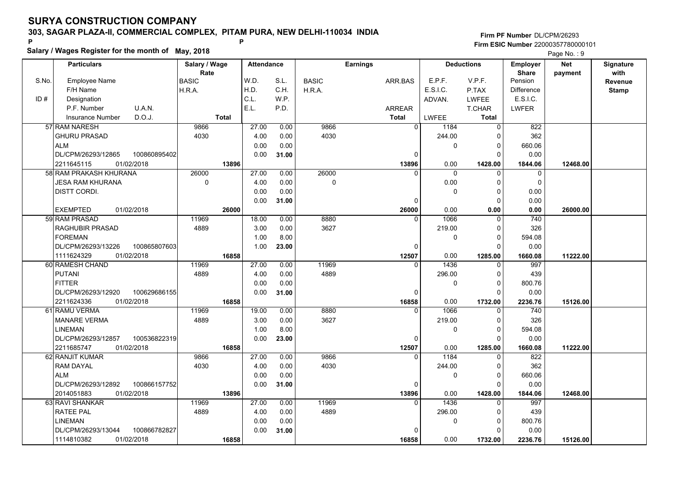### **303, SAGAR PLAZA-II, COMMERCIAL COMPLEX, PITAM PURA, NEW DELHI-110034 INDIA**

#### **Salary / Wages Register for the month of May, 2018 <sup>P</sup> <sup>P</sup> Firm PF Number**DL/CPM/26293**Firm ESIC Number** 22000357780000101

Page No.: 9

|       | <b>Particulars</b>                 | Salary / Wage        | <b>Attendance</b> |       |              | Earnings       |              | <b>Deductions</b> | Employer                | <b>Net</b> | Signature              |
|-------|------------------------------------|----------------------|-------------------|-------|--------------|----------------|--------------|-------------------|-------------------------|------------|------------------------|
| S.No. | <b>Employee Name</b>               | Rate<br><b>BASIC</b> | W.D.              | S.L.  | <b>BASIC</b> | ARR.BAS        | E.P.F.       | V.P.F.            | <b>Share</b><br>Pension | payment    | with<br><b>Revenue</b> |
|       | F/H Name                           | H.R.A.               | H.D.              | C.H.  | H.R.A.       |                | E.S.I.C.     | P.TAX             | <b>Difference</b>       |            | <b>Stamp</b>           |
| ID#   | Designation                        |                      | C.L.              | W.P.  |              |                | ADVAN.       | <b>LWFEE</b>      | E.S.I.C.                |            |                        |
|       | U.A.N.<br>P.F. Number              |                      | E.L.              | P.D.  |              | <b>ARREAR</b>  |              | <b>T.CHAR</b>     | <b>LWFER</b>            |            |                        |
|       | D.O.J.<br><b>Insurance Number</b>  | <b>Total</b>         |                   |       |              | <b>Total</b>   | <b>LWFEE</b> | <b>Total</b>      |                         |            |                        |
|       | 57 RAM NARESH                      | 9866                 | 27.00             | 0.00  | 9866         | $\overline{0}$ | 1184         | $\mathbf 0$       | 822                     |            |                        |
|       | <b>GHURU PRASAD</b>                | 4030                 | 4.00              | 0.00  | 4030         |                | 244.00       | $\Omega$          | 362                     |            |                        |
|       | <b>ALM</b>                         |                      | 0.00              | 0.00  |              |                | 0            | $\Omega$          | 660.06                  |            |                        |
|       | DL/CPM/26293/12865<br>100860895402 |                      | 0.00              | 31.00 |              | 0              |              | $\Omega$          | 0.00                    |            |                        |
|       | 01/02/2018<br>2211645115           | 13896                |                   |       |              | 13896          | 0.00         | 1428.00           | 1844.06                 | 12468.00   |                        |
|       | 58 RAM PRAKASH KHURANA             | 26000                | 27.00             | 0.00  | 26000        | <sup>0</sup>   | $\Omega$     | $\mathbf{0}$      | $\mathbf 0$             |            |                        |
|       | <b>JESA RAM KHURANA</b>            | $\mathbf 0$          | 4.00              | 0.00  | 0            |                | 0.00         | $\Omega$          | $\mathbf 0$             |            |                        |
|       | DISTT CORDI.                       |                      | 0.00              | 0.00  |              |                | 0            | $\Omega$          | 0.00                    |            |                        |
|       |                                    |                      | 0.00              | 31.00 |              | 0              |              | $\Omega$          | 0.00                    |            |                        |
|       | 01/02/2018<br><b>EXEMPTED</b>      | 26000                |                   |       |              | 26000          | 0.00         | 0.00              | 0.00                    | 26000.00   |                        |
|       | 59 RAM PRASAD                      | 11969                | 18.00             | 0.00  | 8880         | $\Omega$       | 1066         | $\Omega$          | $\overline{740}$        |            |                        |
|       | <b>RAGHUBIR PRASAD</b>             | 4889                 | 3.00              | 0.00  | 3627         |                | 219.00       | $\Omega$          | 326                     |            |                        |
|       | <b>FOREMAN</b>                     |                      | 1.00              | 8.00  |              |                | 0            | $\Omega$          | 594.08                  |            |                        |
|       | DL/CPM/26293/13226<br>100865807603 |                      | 1.00              | 23.00 |              | $\Omega$       |              | $\Omega$          | 0.00                    |            |                        |
|       | 1111624329<br>01/02/2018           | 16858                |                   |       |              | 12507          | 0.00         | 1285.00           | 1660.08                 | 11222.00   |                        |
|       | 60 RAMESH CHAND                    | 11969                | 27.00             | 0.00  | 11969        | 0              | 1436         | $\mathbf{0}$      | 997                     |            |                        |
|       | <b>PUTANI</b>                      | 4889                 | 4.00              | 0.00  | 4889         |                | 296.00       | $\Omega$          | 439                     |            |                        |
|       | <b>FITTER</b>                      |                      | 0.00              | 0.00  |              |                | 0            | $\Omega$          | 800.76                  |            |                        |
|       | 100629686155<br>DL/CPM/26293/12920 |                      | 0.00              | 31.00 |              | 0              |              | $\Omega$          | 0.00                    |            |                        |
|       | 2211624336<br>01/02/2018           | 16858                |                   |       |              | 16858          | 0.00         | 1732.00           | 2236.76                 | 15126.00   |                        |
|       | 61 RAMU VERMA                      | 11969                | 19.00             | 0.00  | 8880         | $\Omega$       | 1066         | $\Omega$          | 740                     |            |                        |
|       | <b>MANARE VERMA</b>                | 4889                 | 3.00              | 0.00  | 3627         |                | 219.00       | $\Omega$          | 326                     |            |                        |
|       | <b>LINEMAN</b>                     |                      | 1.00              | 8.00  |              |                | 0            | $\mathbf 0$       | 594.08                  |            |                        |
|       | DL/CPM/26293/12857<br>100536822319 |                      | 0.00              | 23.00 |              | $\Omega$       |              | $\Omega$          | 0.00                    |            |                        |
|       | 2211685747<br>01/02/2018           | 16858                |                   |       |              | 12507          | 0.00         | 1285.00           | 1660.08                 | 11222.00   |                        |
|       | 62 RANJIT KUMAR                    | 9866                 | 27.00             | 0.00  | 9866         | 0              | 1184         | $\Omega$          | 822                     |            |                        |
|       | RAM DAYAL                          | 4030                 | 4.00              | 0.00  | 4030         |                | 244.00       | $\Omega$          | 362                     |            |                        |
|       | <b>ALM</b>                         |                      | 0.00              | 0.00  |              |                | $\Omega$     | $\Omega$          | 660.06                  |            |                        |
|       | DL/CPM/26293/12892<br>100866157752 |                      | 0.00              | 31.00 |              | $\Omega$       |              | $\Omega$          | 0.00                    |            |                        |
|       | 01/02/2018<br>2014051883           | 13896                |                   |       |              | 13896          | 0.00         | 1428.00           | 1844.06                 | 12468.00   |                        |
|       | 63 RAVI SHANKAR                    | 11969                | 27.00             | 0.00  | 11969        | $\Omega$       | 1436         | $\mathbf{0}$      | 997                     |            |                        |
|       | <b>RATEE PAL</b>                   | 4889                 | 4.00              | 0.00  | 4889         |                | 296.00       | 0                 | 439                     |            |                        |
|       | <b>LINEMAN</b>                     |                      | 0.00              | 0.00  |              |                | 0            | $\Omega$          | 800.76                  |            |                        |
|       | DL/CPM/26293/13044<br>100866782827 |                      | 0.00              | 31.00 |              | O              |              | $\Omega$          | 0.00                    |            |                        |
|       | 1114810382<br>01/02/2018           | 16858                |                   |       |              | 16858          | 0.00         | 1732.00           | 2236.76                 | 15126.00   |                        |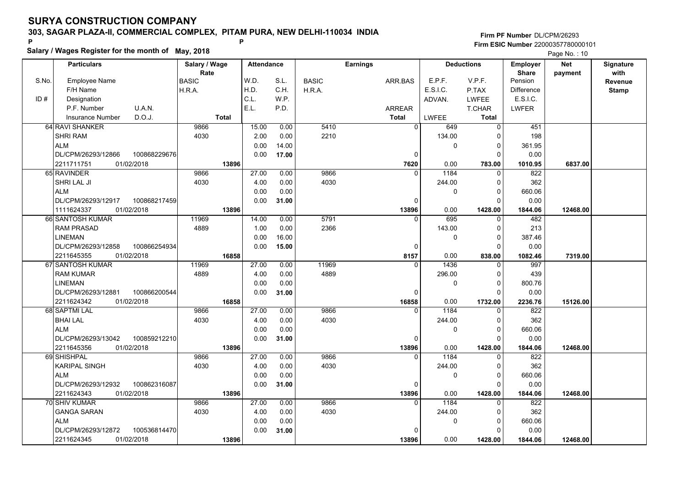### **303, SAGAR PLAZA-II, COMMERCIAL COMPLEX, PITAM PURA, NEW DELHI-110034 INDIA**

# **Salary / Wages Register for the month of May, 2018 <sup>P</sup> <sup>P</sup>**

|       | Salary / Wages Register for the month of May, 2018 |               |                   |       |              |                 | Page No.: 10 |                   |                 |            |                  |  |
|-------|----------------------------------------------------|---------------|-------------------|-------|--------------|-----------------|--------------|-------------------|-----------------|------------|------------------|--|
|       | <b>Particulars</b>                                 | Salary / Wage | <b>Attendance</b> |       |              | <b>Earnings</b> |              | <b>Deductions</b> | <b>Employer</b> | <b>Net</b> | <b>Signature</b> |  |
|       |                                                    | Rate          |                   |       |              |                 |              |                   | <b>Share</b>    | payment    | with             |  |
| S.No. | <b>Employee Name</b>                               | <b>BASIC</b>  | W.D.              | S.L.  | <b>BASIC</b> | ARR.BAS         | E.P.F.       | V.P.F.            | Pension         |            | Revenue          |  |
|       | F/H Name                                           | H.R.A.        | H.D.              | C.H.  | H.R.A.       |                 | E.S.I.C.     | P.TAX             | Difference      |            | <b>Stamp</b>     |  |
| ID#   | Designation                                        |               | C.L.              | WP.   |              |                 | ADVAN.       | <b>LWFEE</b>      | E.S.I.C.        |            |                  |  |
|       | U.A.N.<br>P.F. Number                              |               | E.L.              | P.D.  |              | ARREAR          |              | T.CHAR            | LWFER           |            |                  |  |
|       | D.O.J.<br><b>Insurance Number</b>                  | <b>Total</b>  |                   |       |              | <b>Total</b>    | LWFEE        | Total             |                 |            |                  |  |
|       | 64 RAVI SHANKER                                    | 9866          | 15.00             | 0.00  | 5410         | $\mathbf{0}$    | 649          | $\Omega$          | 451             |            |                  |  |
|       | <b>SHRI RAM</b>                                    | 4030          | 2.00              | 0.00  | 2210         |                 | 134.00       | 0                 | 198             |            |                  |  |
|       | <b>ALM</b>                                         |               | 0.00              | 14.00 |              |                 | $\mathbf{0}$ | 0                 | 361.95          |            |                  |  |
|       | DL/CPM/26293/12866<br>100868229676                 |               | 0.00              | 17.00 |              | $\mathbf 0$     |              | 0                 | 0.00            |            |                  |  |
|       | 01/02/2018<br>2211711751                           | 13896         |                   |       |              | 7620            | 0.00         | 783.00            | 1010.95         | 6837.00    |                  |  |
|       | 65 RAVINDER                                        | 9866          | 27.00             | 0.00  | 9866         |                 | 1184         | 0                 | 822             |            |                  |  |
|       | SHRI LAL JI                                        | 4030          | 4.00              | 0.00  | 4030         |                 | 244.00       | $\Omega$          | 362             |            |                  |  |
|       | <b>ALM</b>                                         |               | 0.00              | 0.00  |              |                 | $\Omega$     | 0                 | 660.06          |            |                  |  |
|       | DL/CPM/26293/12917<br>100868217459                 |               | 0.00              | 31.00 |              | 0               |              | O                 | 0.00            |            |                  |  |
|       | 1111624337<br>01/02/2018                           | 13896         |                   |       |              | 13896           | 0.00         | 1428.00           | 1844.06         | 12468.00   |                  |  |
|       | 66 SANTOSH KUMAR                                   | 11969         | 14.00             | 0.00  | 5791         | 0               | 695          | 0                 | 482             |            |                  |  |
|       | <b>RAM PRASAD</b>                                  | 4889          | 1.00              | 0.00  | 2366         |                 | 143.00       | $\Omega$          | 213             |            |                  |  |
|       | <b>LINEMAN</b>                                     |               | 0.00              | 16.00 |              |                 | 0            | $\Omega$          | 387.46          |            |                  |  |
|       | DL/CPM/26293/12858<br>100866254934                 |               | 0.00              | 15.00 |              | 0               |              | $\Omega$          | 0.00            |            |                  |  |
|       | 2211645355<br>01/02/2018                           | 16858         |                   |       |              | 8157            | 0.00         | 838.00            | 1082.46         | 7319.00    |                  |  |
|       | 67 SANTOSH KUMAR                                   | 11969         | 27.00             | 0.00  | 11969        | $\Omega$        | 1436         | $\Omega$          | 997             |            |                  |  |
|       | <b>RAM KUMAR</b>                                   | 4889          | 4.00              | 0.00  | 4889         |                 | 296.00       | $\Omega$          | 439             |            |                  |  |
|       | LINEMAN                                            |               | 0.00              | 0.00  |              |                 | $\mathbf 0$  | 0                 | 800.76          |            |                  |  |
|       | DL/CPM/26293/12881<br>100866200544                 |               | 0.00              | 31.00 |              | $\pmb{0}$       |              | $\Omega$          | 0.00            |            |                  |  |
|       | 2211624342<br>01/02/2018                           | 16858         |                   |       |              | 16858           | 0.00         | 1732.00           | 2236.76         | 15126.00   |                  |  |
|       | 68 SAPTMI LAL                                      | 9866          | 27.00             | 0.00  | 9866         | $\Omega$        | 1184         | $\Omega$          | 822             |            |                  |  |
|       | <b>BHAI LAL</b>                                    | 4030          | 4.00              | 0.00  | 4030         |                 | 244.00       | 0                 | 362             |            |                  |  |
|       | <b>ALM</b>                                         |               | 0.00              | 0.00  |              |                 | $\mathbf 0$  | $\Omega$          | 660.06          |            |                  |  |
|       | DL/CPM/26293/13042<br>100859212210                 |               | 0.00              | 31.00 |              | 0               |              | $\Omega$          | 0.00            |            |                  |  |
|       | 01/02/2018<br>2211645356                           | 13896         |                   |       |              | 13896           | 0.00         | 1428.00           | 1844.06         | 12468.00   |                  |  |
|       | 69 SHISHPAL                                        | 9866          | 27.00             | 0.00  | 9866         | $\mathbf{0}$    | 1184         | 0                 | 822             |            |                  |  |
|       | <b>KARIPAL SINGH</b>                               | 4030          | 4.00              | 0.00  | 4030         |                 | 244.00       | $\Omega$          | 362             |            |                  |  |
|       | <b>ALM</b>                                         |               | 0.00              | 0.00  |              |                 | $\mathbf 0$  | 0                 | 660.06          |            |                  |  |
|       | DL/CPM/26293/12932<br>100862316087                 |               | 0.00              | 31.00 |              | $\mathbf{0}$    |              | $\Omega$          | 0.00            |            |                  |  |
|       | 2211624343<br>01/02/2018                           | 13896         |                   |       |              | 13896           | 0.00         | 1428.00           | 1844.06         | 12468.00   |                  |  |
|       | <b>70 SHIV KUMAR</b>                               | 9866          | 27.00             | 0.00  | 9866         | $\Omega$        | 1184         | 0                 | 822             |            |                  |  |
|       | <b>GANGA SARAN</b>                                 | 4030          | 4.00              | 0.00  | 4030         |                 | 244.00       | $\Omega$          | 362             |            |                  |  |
|       | <b>ALM</b>                                         |               | 0.00              | 0.00  |              |                 | $\mathbf 0$  | 0                 | 660.06          |            |                  |  |
|       | DL/CPM/26293/12872<br>100536814470                 |               | 0.00              | 31.00 |              | $\Omega$        |              |                   | 0.00            |            |                  |  |
|       | 2211624345<br>01/02/2018                           | 13896         |                   |       |              | 13896           | 0.00         | 1428.00           | 1844.06         | 12468.00   |                  |  |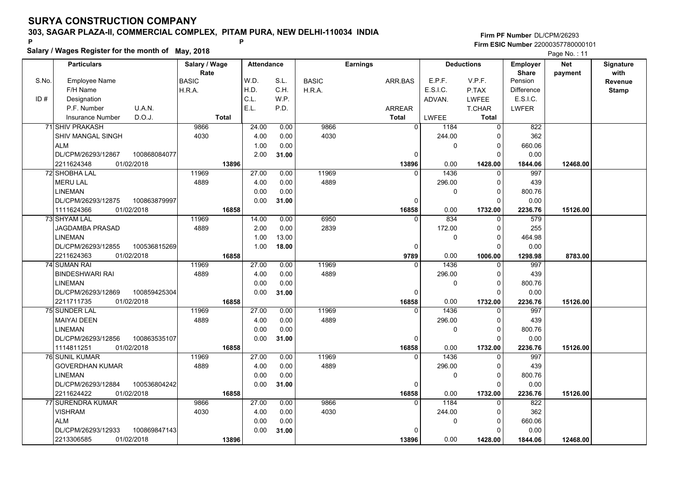### **303, SAGAR PLAZA-II, COMMERCIAL COMPLEX, PITAM PURA, NEW DELHI-110034 INDIA**

# **Salary / Wages Register for the month of May, 2018 <sup>P</sup> <sup>P</sup>**

|       | Salary / Wages Register for the month of May, 2018 |               |                   |              |              |                 |                    |                   |                        | Page No.: 11 |                  |
|-------|----------------------------------------------------|---------------|-------------------|--------------|--------------|-----------------|--------------------|-------------------|------------------------|--------------|------------------|
|       | <b>Particulars</b>                                 | Salary / Wage | <b>Attendance</b> |              |              | <b>Earnings</b> |                    | <b>Deductions</b> | <b>Employer</b>        | <b>Net</b>   | <b>Signature</b> |
|       |                                                    | Rate          |                   |              |              |                 |                    |                   | <b>Share</b>           | payment      | with             |
| S.No. | <b>Employee Name</b><br>F/H Name                   | <b>BASIC</b>  | W.D.<br>H.D.      | S.L.<br>C.H. | <b>BASIC</b> | ARR.BAS         | E.P.F.<br>E.S.I.C. | V.P.F.            | Pension                |              | <b>Revenue</b>   |
| ID#   | Designation                                        | H.R.A.        | C.L.              | W.P.         | H.R.A.       |                 |                    | P.TAX             | Difference<br>E.S.I.C. |              | <b>Stamp</b>     |
|       | U.A.N.                                             |               | E.L.              |              |              |                 | ADVAN.             | <b>LWFEE</b>      |                        |              |                  |
|       | P.F. Number                                        |               |                   | P.D.         |              | <b>ARREAR</b>   |                    | T.CHAR            | <b>LWFER</b>           |              |                  |
|       | D.O.J.<br><b>Insurance Number</b>                  | <b>Total</b>  |                   |              |              | <b>Total</b>    | <b>LWFEE</b>       | <b>Total</b>      |                        |              |                  |
|       | 71 SHIV PRAKASH                                    | 9866          | 24.00             | 0.00         | 9866         | $\mathbf 0$     | 1184               | $\overline{0}$    | 822                    |              |                  |
|       | <b>SHIV MANGAL SINGH</b>                           | 4030          | 4.00              | 0.00         | 4030         |                 | 244.00             | $\Omega$          | 362                    |              |                  |
|       | <b>ALM</b>                                         |               | 1.00              | 0.00         |              |                 | $\mathbf{0}$       | 0                 | 660.06                 |              |                  |
|       | DL/CPM/26293/12867<br>100868084077                 |               | 2.00              | 31.00        |              | 0               |                    | $\Omega$          | 0.00                   |              |                  |
|       | 01/02/2018<br>2211624348                           | 13896         |                   |              |              | 13896           | 0.00               | 1428.00           | 1844.06                | 12468.00     |                  |
|       | 72 SHOBHA LAL                                      | 11969         | 27.00             | 0.00         | 11969        |                 | 1436               | $\Omega$          | 997                    |              |                  |
|       | <b>MERU LAL</b>                                    | 4889          | 4.00              | 0.00         | 4889         |                 | 296.00             | 0                 | 439                    |              |                  |
|       | <b>LINEMAN</b>                                     |               | 0.00              | 0.00         |              |                 | $\mathbf{0}$       | $\Omega$          | 800.76                 |              |                  |
|       | DL/CPM/26293/12875<br>100863879997                 |               | 0.00              | 31.00        |              | $\Omega$        |                    | $\Omega$          | 0.00                   |              |                  |
|       | 1111624366<br>01/02/2018                           | 16858         |                   |              |              | 16858           | 0.00               | 1732.00           | 2236.76                | 15126.00     |                  |
|       | 73 SHYAM LAL                                       | 11969         | 14.00             | 0.00         | 6950         | $\mathbf{0}$    | 834                | 0                 | 579                    |              |                  |
|       | JAGDAMBA PRASAD                                    | 4889          | 2.00              | 0.00         | 2839         |                 | 172.00             | 0                 | 255                    |              |                  |
|       | <b>LINEMAN</b>                                     |               | 1.00              | 13.00        |              |                 | $\mathbf{0}$       | $\Omega$          | 464.98                 |              |                  |
|       | DL/CPM/26293/12855<br>100536815269                 |               | 1.00              | 18.00        |              | $\Omega$        |                    | $\Omega$          | 0.00                   |              |                  |
|       | 2211624363<br>01/02/2018                           | 16858         |                   |              |              | 9789            | 0.00               | 1006.00           | 1298.98                | 8783.00      |                  |
|       | <b>74 SUMAN RAI</b>                                | 11969         | 27.00             | 0.00         | 11969        | $\Omega$        | 1436               | $\Omega$          | 997                    |              |                  |
|       | <b>BINDESHWARI RAI</b>                             | 4889          | 4.00              | 0.00         | 4889         |                 | 296.00             | $\Omega$          | 439                    |              |                  |
|       | <b>LINEMAN</b>                                     |               | 0.00              | 0.00         |              |                 | $\mathbf 0$        | 0                 | 800.76                 |              |                  |
|       | 100859425304<br>DL/CPM/26293/12869                 |               | 0.00              | 31.00        |              | 0               |                    | $\Omega$          | 0.00                   |              |                  |
|       | 2211711735<br>01/02/2018                           | 16858         |                   |              |              | 16858           | 0.00               | 1732.00           | 2236.76                | 15126.00     |                  |
|       | 75 SUNDER LAL                                      | 11969         | 27.00             | 0.00         | 11969        | $\Omega$        | 1436               | 0                 | 997                    |              |                  |
|       | <b>MAIYAI DEEN</b>                                 | 4889          | 4.00              | 0.00         | 4889         |                 | 296.00             | $\Omega$          | 439                    |              |                  |
|       | <b>LINEMAN</b>                                     |               | 0.00              | 0.00         |              |                 | $\mathbf{0}$       | $\Omega$          | 800.76                 |              |                  |
|       | DL/CPM/26293/12856<br>100863535107                 |               | 0.00              | 31.00        |              | 0               |                    | $\Omega$          | 0.00                   |              |                  |
|       | 1114811251<br>01/02/2018                           | 16858         |                   |              |              | 16858           | 0.00               | 1732.00           | 2236.76                | 15126.00     |                  |
|       | 76 SUNIL KUMAR                                     | 11969         | 27.00             | 0.00         | 11969        | 0               | 1436               | 0                 | 997                    |              |                  |
|       | <b>GOVERDHAN KUMAR</b>                             | 4889          | 4.00              | 0.00         | 4889         |                 | 296.00             | $\Omega$          | 439                    |              |                  |
|       | <b>LINEMAN</b>                                     |               | 0.00              | 0.00         |              |                 | $\Omega$           | $\Omega$          | 800.76                 |              |                  |
|       | DL/CPM/26293/12884<br>100536804242                 |               | 0.00              | 31.00        |              | $\Omega$        |                    | 0                 | 0.00                   |              |                  |
|       | 2211624422<br>01/02/2018                           | 16858         |                   |              |              | 16858           | 0.00               | 1732.00           | 2236.76                | 15126.00     |                  |
|       | 77 SURENDRA KUMAR                                  | 9866          | 27.00             | 0.00         | 9866         | $\overline{0}$  | 1184               | $\overline{0}$    | 822                    |              |                  |
|       | <b>VISHRAM</b>                                     | 4030          | 4.00              | 0.00         | 4030         |                 | 244.00             | $\Omega$          | 362                    |              |                  |
|       | <b>ALM</b>                                         |               | 0.00              | 0.00         |              |                 | $\mathbf{0}$       | $\Omega$          | 660.06                 |              |                  |
|       | DL/CPM/26293/12933<br>100869847143                 |               | 0.00              | 31.00        |              | 0               |                    | $\Omega$          | 0.00                   |              |                  |
|       | 01/02/2018<br>2213306585                           | 13896         |                   |              |              | 13896           | 0.00               | 1428.00           | 1844.06                | 12468.00     |                  |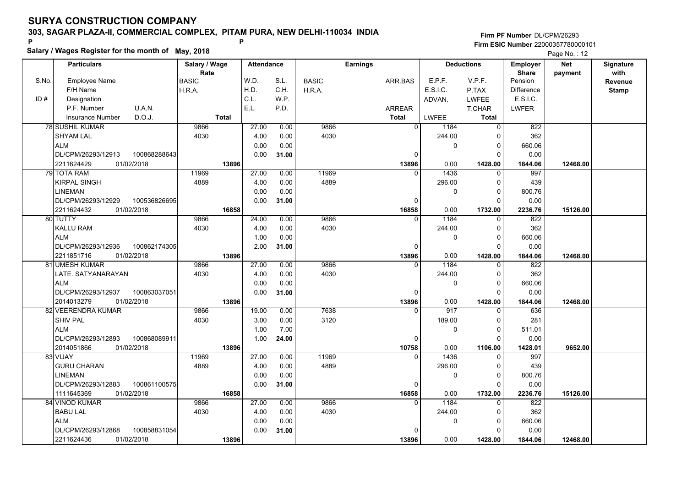### **303, SAGAR PLAZA-II, COMMERCIAL COMPLEX, PITAM PURA, NEW DELHI-110034 INDIA**

# **Salary / Wages Register for the month of May, 2018 <sup>P</sup> <sup>P</sup>**

|       | Salary / Wages Register for the month of May, 2018 |               |                   |       |              |                 |              |                   |                 | Page No.: 12 |                  |
|-------|----------------------------------------------------|---------------|-------------------|-------|--------------|-----------------|--------------|-------------------|-----------------|--------------|------------------|
|       | <b>Particulars</b>                                 | Salary / Wage | <b>Attendance</b> |       |              | <b>Earnings</b> |              | <b>Deductions</b> | <b>Employer</b> | <b>Net</b>   | <b>Signature</b> |
|       |                                                    | Rate          |                   |       |              |                 |              |                   | <b>Share</b>    | payment      | with             |
| S.No. | <b>Employee Name</b>                               | <b>BASIC</b>  | W.D.              | S.L.  | <b>BASIC</b> | ARR.BAS         | E.P.F.       | V.P.F.            | Pension         |              | Revenue          |
|       | F/H Name                                           | H.R.A.        | H.D.              | C.H.  | H.R.A.       |                 | E.S.I.C.     | P.TAX             | Difference      |              | <b>Stamp</b>     |
| ID#   | Designation                                        |               | C.L.              | W.P.  |              |                 | ADVAN.       | <b>LWFEE</b>      | E.S.I.C.        |              |                  |
|       | U.A.N.<br>P.F. Number                              |               | E.L.              | P.D.  |              | <b>ARREAR</b>   |              | T.CHAR            | <b>LWFER</b>    |              |                  |
|       | D.O.J.<br><b>Insurance Number</b>                  | <b>Total</b>  |                   |       |              | <b>Total</b>    | <b>LWFEE</b> | Total             |                 |              |                  |
|       | 78 SUSHIL KUMAR                                    | 9866          | 27.00             | 0.00  | 9866         | $\mathbf 0$     | 1184         | $\overline{0}$    | 822             |              |                  |
|       | <b>SHYAM LAL</b>                                   | 4030          | 4.00              | 0.00  | 4030         |                 | 244.00       |                   | 362             |              |                  |
|       | <b>ALM</b>                                         |               | 0.00              | 0.00  |              |                 | $\mathbf 0$  | 0                 | 660.06          |              |                  |
|       | DL/CPM/26293/12913<br>100868288643                 |               | 0.00              | 31.00 |              | $\mathbf 0$     |              | $\Omega$          | 0.00            |              |                  |
|       | 01/02/2018<br>2211624429                           | 13896         |                   |       |              | 13896           | 0.00         | 1428.00           | 1844.06         | 12468.00     |                  |
|       | <b>79 TOTA RAM</b>                                 | 11969         | 27.00             | 0.00  | 11969        |                 | 1436         |                   | 997             |              |                  |
|       | KIRPAL SINGH                                       | 4889          | 4.00              | 0.00  | 4889         |                 | 296.00       | 0                 | 439             |              |                  |
|       | <b>LINEMAN</b>                                     |               | 0.00              | 0.00  |              |                 | $\mathbf 0$  | $\Omega$          | 800.76          |              |                  |
|       | DL/CPM/26293/12929<br>100536826695                 |               | 0.00              | 31.00 |              | $\mathbf{0}$    |              | $\Omega$          | 0.00            |              |                  |
|       | 2211624432<br>01/02/2018                           | 16858         |                   |       |              | 16858           | 0.00         | 1732.00           | 2236.76         | 15126.00     |                  |
|       | 80 TUTTY                                           | 9866          | 24.00             | 0.00  | 9866         | $\mathbf{0}$    | 1184         | 0                 | 822             |              |                  |
|       | <b>KALLU RAM</b>                                   | 4030          | 4.00              | 0.00  | 4030         |                 | 244.00       | $\Omega$          | 362             |              |                  |
|       | <b>ALM</b>                                         |               | 1.00              | 0.00  |              |                 | 0            | $\Omega$          | 660.06          |              |                  |
|       | DL/CPM/26293/12936<br>100862174305                 |               | 2.00              | 31.00 |              | $\mathbf{0}$    |              | $\Omega$          | 0.00            |              |                  |
|       | 2211851716<br>01/02/2018                           | 13896         |                   |       |              | 13896           | 0.00         | 1428.00           | 1844.06         | 12468.00     |                  |
|       | 81 UMESH KUMAR                                     | 9866          | 27.00             | 0.00  | 9866         | $\Omega$        | 1184         | $\Omega$          | 822             |              |                  |
|       | LATE. SATYANARAYAN                                 | 4030          | 4.00              | 0.00  | 4030         |                 | 244.00       | $\Omega$          | 362             |              |                  |
|       | <b>ALM</b>                                         |               | 0.00              | 0.00  |              |                 | $\mathbf 0$  | 0                 | 660.06          |              |                  |
|       | DL/CPM/26293/12937<br>100863037051                 |               | 0.00              | 31.00 |              | $\mathbf 0$     |              | $\Omega$          | 0.00            |              |                  |
|       | 2014013279<br>01/02/2018                           | 13896         |                   |       |              | 13896           | 0.00         | 1428.00           | 1844.06         | 12468.00     |                  |
|       | 82 VEERENDRA KUMAR                                 | 9866          | 19.00             | 0.00  | 7638         | $\Omega$        | 917          | 0                 | 636             |              |                  |
|       | <b>SHIV PAL</b>                                    | 4030          | 3.00              | 0.00  | 3120         |                 | 189.00       | $\Omega$          | 281             |              |                  |
|       | <b>ALM</b>                                         |               | 1.00              | 7.00  |              |                 | $\mathbf 0$  |                   | 511.01          |              |                  |
|       | DL/CPM/26293/12893<br>100868089911                 |               | 1.00              | 24.00 |              | 0               |              | O                 | 0.00            |              |                  |
|       | 2014051866<br>01/02/2018                           | 13896         |                   |       |              | 10758           | 0.00         | 1106.00           | 1428.01         | 9652.00      |                  |
|       | 83 VIJAY                                           | 11969         | 27.00             | 0.00  | 11969        | $\Omega$        | 1436         | 0                 | 997             |              |                  |
|       | <b>GURU CHARAN</b>                                 | 4889          | 4.00              | 0.00  | 4889         |                 | 296.00       | $\Omega$          | 439             |              |                  |
|       | <b>LINEMAN</b>                                     |               | 0.00              | 0.00  |              |                 | $\Omega$     | $\Omega$          | 800.76          |              |                  |
|       | DL/CPM/26293/12883<br>100861100575                 |               | 0.00              | 31.00 |              | $\mathbf{0}$    |              | 0                 | 0.00            |              |                  |
|       | 1111645369<br>01/02/2018                           | 16858         |                   |       |              | 16858           | 0.00         | 1732.00           | 2236.76         | 15126.00     |                  |
|       | 84 VINOD KUMAR                                     | 9866          | 27.00             | 0.00  | 9866         | $\overline{0}$  | 1184         | $\Omega$          | 822             |              |                  |
|       | <b>BABU LAL</b>                                    | 4030          | 4.00              | 0.00  | 4030         |                 | 244.00       | $\Omega$          | 362             |              |                  |
|       | <b>ALM</b>                                         |               | 0.00              | 0.00  |              |                 | $\mathbf{0}$ | $\Omega$          | 660.06          |              |                  |
|       | DL/CPM/26293/12868<br>100858831054                 |               | 0.00              | 31.00 |              | 0               |              |                   | 0.00            |              |                  |
|       | 2211624436<br>01/02/2018                           | 13896         |                   |       |              | 13896           | 0.00         | 1428.00           | 1844.06         | 12468.00     |                  |